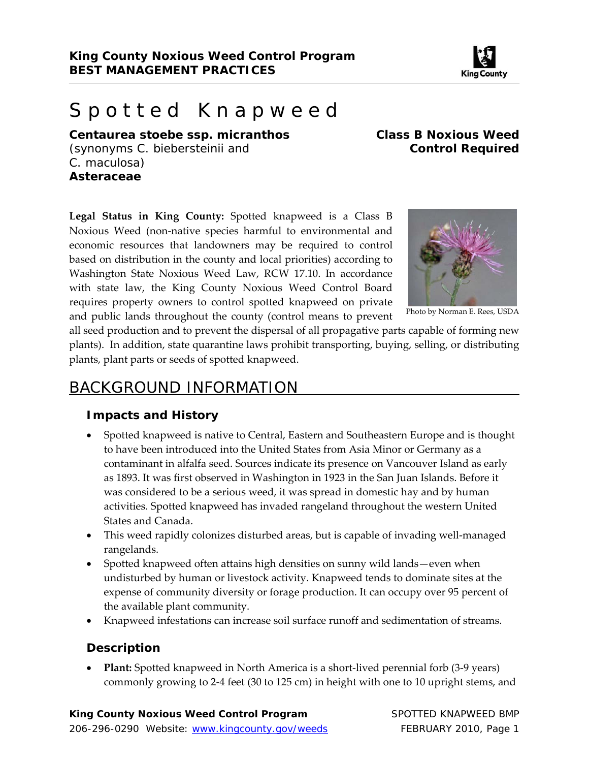

# Spotted Knapweed

*Centaurea stoebe ssp. micranthos* **Class B Noxious Weed**  (synonyms *C. biebersteinii* and **Control Required** *C. maculosa*) **Asteraceae** 

**Legal Status in King County:** Spotted knapweed is a Class B Noxious Weed (non‐native species harmful to environmental and economic resources that landowners may be required to control based on distribution in the county and local priorities) according to Washington State Noxious Weed Law, RCW 17.10. In accordance with state law, the King County Noxious Weed Control Board requires property owners to control spotted knapweed on private and public lands throughout the county (control means to prevent



Photo by Norman E. Rees, USDA

all seed production and to prevent the dispersal of all propagative parts capable of forming new plants). In addition, state quarantine laws prohibit transporting, buying, selling, or distributing plants, plant parts or seeds of spotted knapweed.

## BACKGROUND INFORMATION

#### **Impacts and History**

- Spotted knapweed is native to Central, Eastern and Southeastern Europe and is thought to have been introduced into the United States from Asia Minor or Germany as a contaminant in alfalfa seed. Sources indicate its presence on Vancouver Island as early as 1893. It was first observed in Washington in 1923 in the San Juan Islands. Before it was considered to be a serious weed, it was spread in domestic hay and by human activities. Spotted knapweed has invaded rangeland throughout the western United States and Canada.
- This weed rapidly colonizes disturbed areas, but is capable of invading well-managed rangelands.
- Spotted knapweed often attains high densities on sunny wild lands—even when undisturbed by human or livestock activity. Knapweed tends to dominate sites at the expense of community diversity or forage production. It can occupy over 95 percent of the available plant community.
- Knapweed infestations can increase soil surface runoff and sedimentation of streams.

#### **Description**

 **Plant:** Spotted knapweed in North America is a short‐lived perennial forb (3‐9 years) commonly growing to 2‐4 feet (30 to 125 cm) in height with one to 10 upright stems, and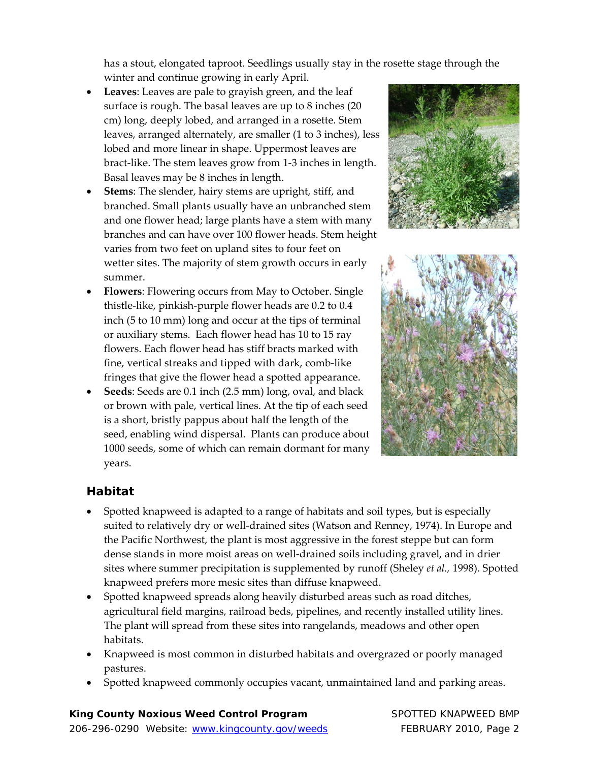has a stout, elongated taproot. Seedlings usually stay in the rosette stage through the winter and continue growing in early April.

- **Leaves**: Leaves are pale to grayish green, and the leaf surface is rough. The basal leaves are up to 8 inches (20 cm) long, deeply lobed, and arranged in a rosette. Stem leaves, arranged alternately, are smaller (1 to 3 inches), less lobed and more linear in shape. Uppermost leaves are bract‐like. The stem leaves grow from 1‐3 inches in length. Basal leaves may be 8 inches in length.
- **Stems**: The slender, hairy stems are upright, stiff, and branched. Small plants usually have an unbranched stem and one flower head; large plants have a stem with many branches and can have over 100 flower heads. Stem height varies from two feet on upland sites to four feet on wetter sites. The majority of stem growth occurs in early summer.
- **Flowers**: Flowering occurs from May to October. Single thistle‐like, pinkish‐purple flower heads are 0.2 to 0.4 inch (5 to 10 mm) long and occur at the tips of terminal or auxiliary stems. Each flower head has 10 to 15 ray flowers. Each flower head has stiff bracts marked with fine, vertical streaks and tipped with dark, comb‐like fringes that give the flower head a spotted appearance.
- **Seeds**: Seeds are 0.1 inch (2.5 mm) long, oval, and black or brown with pale, vertical lines. At the tip of each seed is a short, bristly pappus about half the length of the seed, enabling wind dispersal. Plants can produce about 1000 seeds, some of which can remain dormant for many years.





#### **Habitat**

- Spotted knapweed is adapted to a range of habitats and soil types, but is especially suited to relatively dry or well-drained sites (Watson and Renney, 1974). In Europe and the Pacific Northwest, the plant is most aggressive in the forest steppe but can form dense stands in more moist areas on well‐drained soils including gravel, and in drier sites where summer precipitation is supplemented by runoff (Sheley *et al.,* 1998). Spotted knapweed prefers more mesic sites than diffuse knapweed.
- Spotted knapweed spreads along heavily disturbed areas such as road ditches, agricultural field margins, railroad beds, pipelines, and recently installed utility lines. The plant will spread from these sites into rangelands, meadows and other open habitats.
- Knapweed is most common in disturbed habitats and overgrazed or poorly managed pastures.
- Spotted knapweed commonly occupies vacant, unmaintained land and parking areas.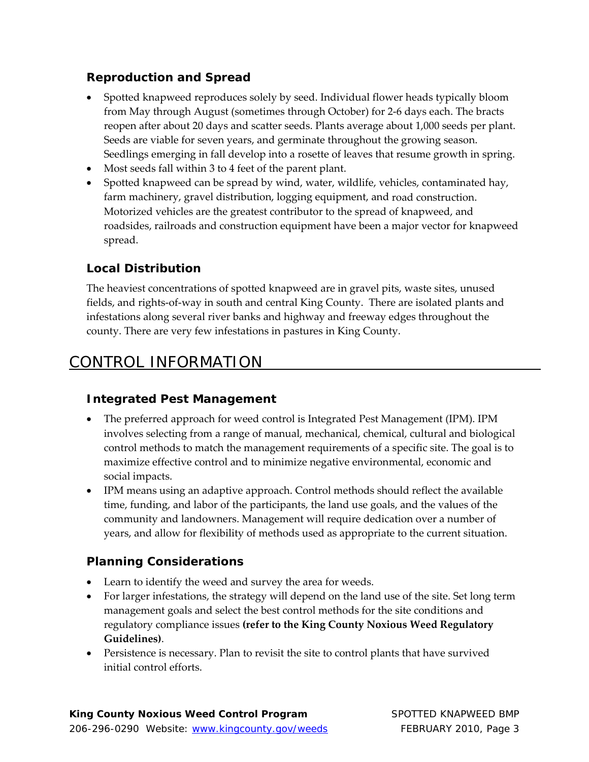#### **Reproduction and Spread**

- Spotted knapweed reproduces solely by seed. Individual flower heads typically bloom from May through August (sometimes through October) for 2‐6 days each. The bracts reopen after about 20 days and scatter seeds. Plants average about 1,000 seeds per plant. Seeds are viable for seven years, and germinate throughout the growing season. Seedlings emerging in fall develop into a rosette of leaves that resume growth in spring.
- Most seeds fall within 3 to 4 feet of the parent plant.
- Spotted knapweed can be spread by wind, water, wildlife, vehicles, contaminated hay, farm machinery, gravel distribution, logging equipment, and road construction. Motorized vehicles are the greatest contributor to the spread of knapweed, and roadsides, railroads and construction equipment have been a major vector for knapweed spread.

#### **Local Distribution**

The heaviest concentrations of spotted knapweed are in gravel pits, waste sites, unused fields, and rights‐of‐way in south and central King County. There are isolated plants and infestations along several river banks and highway and freeway edges throughout the county. There are very few infestations in pastures in King County.

## CONTROL INFORMATION

## **Integrated Pest Management**

- The preferred approach for weed control is Integrated Pest Management (IPM). IPM involves selecting from a range of manual, mechanical, chemical, cultural and biological control methods to match the management requirements of a specific site. The goal is to maximize effective control and to minimize negative environmental, economic and social impacts.
- IPM means using an adaptive approach. Control methods should reflect the available time, funding, and labor of the participants, the land use goals, and the values of the community and landowners. Management will require dedication over a number of years, and allow for flexibility of methods used as appropriate to the current situation.

#### **Planning Considerations**

- Learn to identify the weed and survey the area for weeds.
- For larger infestations, the strategy will depend on the land use of the site. Set long term management goals and select the best control methods for the site conditions and regulatory compliance issues **(refer to the King County Noxious Weed Regulatory Guidelines)**.
- Persistence is necessary. Plan to revisit the site to control plants that have survived initial control efforts.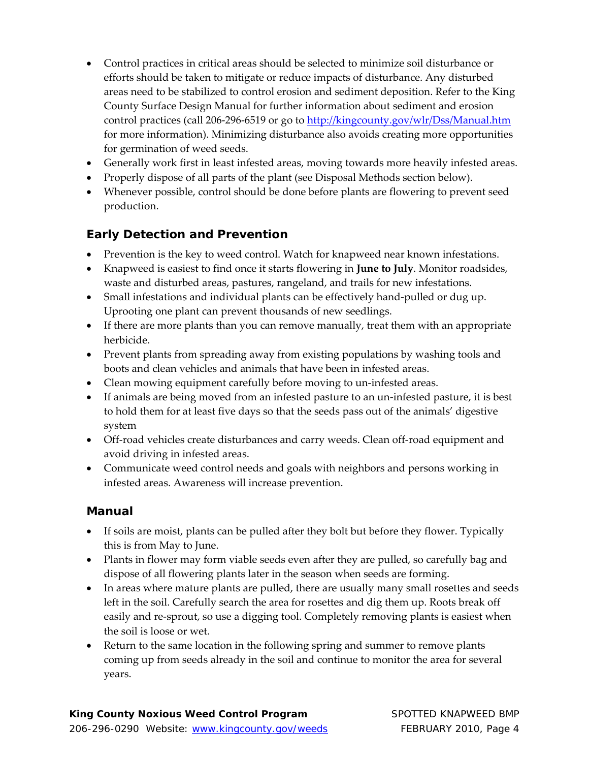- Control practices in critical areas should be selected to minimize soil disturbance or efforts should be taken to mitigate or reduce impacts of disturbance. Any disturbed areas need to be stabilized to control erosion and sediment deposition. Refer to the King County Surface Design Manual for further information about sediment and erosion control practices (call 206-296-6519 or go to http://kingcounty.gov/wlr/Dss/Manual.htm for more information). Minimizing disturbance also avoids creating more opportunities for germination of weed seeds.
- Generally work first in least infested areas, moving towards more heavily infested areas.
- Properly dispose of all parts of the plant (see Disposal Methods section below).
- Whenever possible, control should be done before plants are flowering to prevent seed production.

#### **Early Detection and Prevention**

- Prevention is the key to weed control. Watch for knapweed near known infestations.
- Knapweed is easiest to find once it starts flowering in **June to July**. Monitor roadsides, waste and disturbed areas, pastures, rangeland, and trails for new infestations.
- Small infestations and individual plants can be effectively hand‐pulled or dug up. Uprooting one plant can prevent thousands of new seedlings.
- If there are more plants than you can remove manually, treat them with an appropriate herbicide.
- Prevent plants from spreading away from existing populations by washing tools and boots and clean vehicles and animals that have been in infested areas.
- Clean mowing equipment carefully before moving to un-infested areas.
- If animals are being moved from an infested pasture to an un‐infested pasture, it is best to hold them for at least five days so that the seeds pass out of the animals' digestive system
- Off-road vehicles create disturbances and carry weeds. Clean off-road equipment and avoid driving in infested areas.
- Communicate weed control needs and goals with neighbors and persons working in infested areas. Awareness will increase prevention.

#### **Manual**

- If soils are moist, plants can be pulled after they bolt but before they flower. Typically this is from May to June.
- Plants in flower may form viable seeds even after they are pulled, so carefully bag and dispose of all flowering plants later in the season when seeds are forming.
- In areas where mature plants are pulled, there are usually many small rosettes and seeds left in the soil. Carefully search the area for rosettes and dig them up. Roots break off easily and re-sprout, so use a digging tool. Completely removing plants is easiest when the soil is loose or wet.
- Return to the same location in the following spring and summer to remove plants coming up from seeds already in the soil and continue to monitor the area for several years.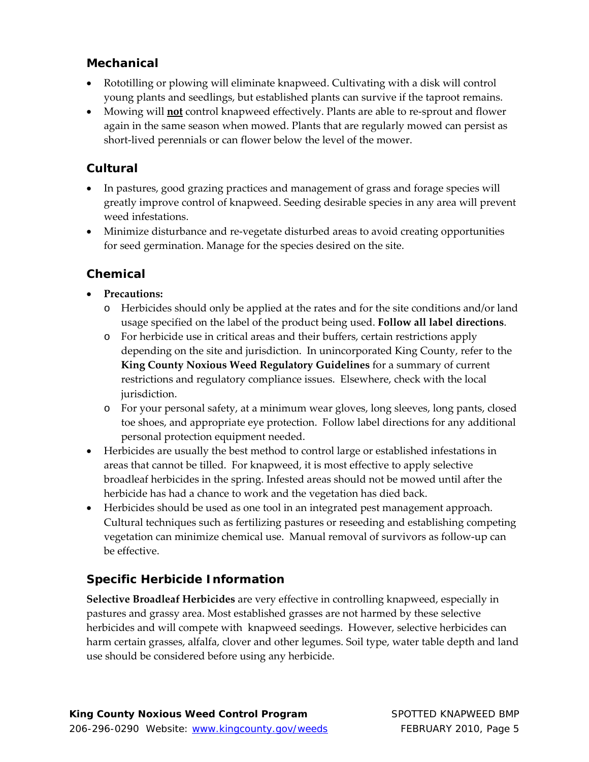#### **Mechanical**

- Rototilling or plowing will eliminate knapweed. Cultivating with a disk will control young plants and seedlings, but established plants can survive if the taproot remains.
- Mowing will **not** control knapweed effectively. Plants are able to re-sprout and flower again in the same season when mowed. Plants that are regularly mowed can persist as short‐lived perennials or can flower below the level of the mower.

#### **Cultural**

- In pastures, good grazing practices and management of grass and forage species will greatly improve control of knapweed. Seeding desirable species in any area will prevent weed infestations.
- Minimize disturbance and re-vegetate disturbed areas to avoid creating opportunities for seed germination. Manage for the species desired on the site.

#### **Chemical**

- **Precautions:**
	- o Herbicides should only be applied at the rates and for the site conditions and/or land usage specified on the label of the product being used. **Follow all label directions**.
	- o For herbicide use in critical areas and their buffers, certain restrictions apply depending on the site and jurisdiction. In unincorporated King County, refer to the **King County Noxious Weed Regulatory Guidelines** for a summary of current restrictions and regulatory compliance issues. Elsewhere, check with the local jurisdiction.
	- o For your personal safety, at a minimum wear gloves, long sleeves, long pants, closed toe shoes, and appropriate eye protection. Follow label directions for any additional personal protection equipment needed.
- Herbicides are usually the best method to control large or established infestations in areas that cannot be tilled. For knapweed, it is most effective to apply selective broadleaf herbicides in the spring. Infested areas should not be mowed until after the herbicide has had a chance to work and the vegetation has died back.
- Herbicides should be used as one tool in an integrated pest management approach. Cultural techniques such as fertilizing pastures or reseeding and establishing competing vegetation can minimize chemical use. Manual removal of survivors as follow‐up can be effective.

## **Specific Herbicide Information**

**Selective Broadleaf Herbicides** are very effective in controlling knapweed, especially in pastures and grassy area. Most established grasses are not harmed by these selective herbicides and will compete with knapweed seedings. However, selective herbicides can harm certain grasses, alfalfa, clover and other legumes. Soil type, water table depth and land use should be considered before using any herbicide.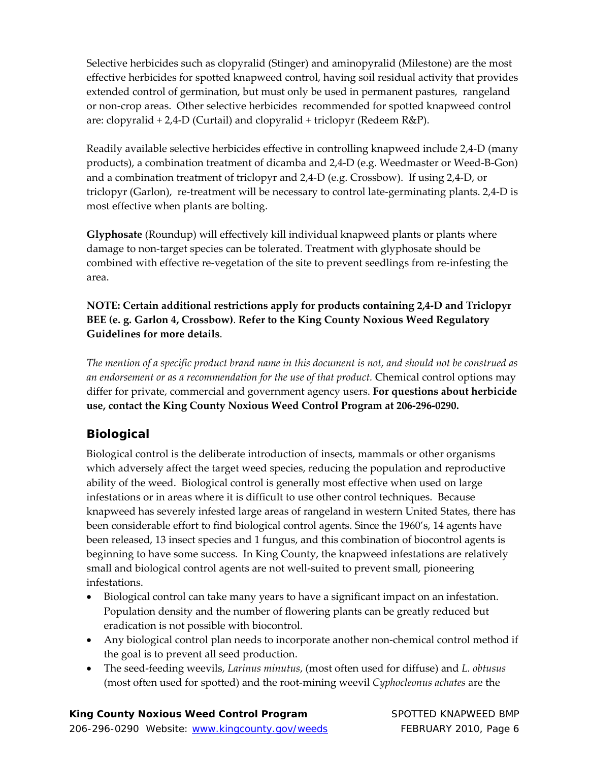Selective herbicides such as clopyralid (Stinger) and aminopyralid (Milestone) are the most effective herbicides for spotted knapweed control, having soil residual activity that provides extended control of germination, but must only be used in permanent pastures, rangeland or non‐crop areas. Other selective herbicides recommended for spotted knapweed control are: clopyralid + 2,4‐D (Curtail) and clopyralid + triclopyr (Redeem R&P).

Readily available selective herbicides effective in controlling knapweed include 2,4‐D (many products), a combination treatment of dicamba and 2,4‐D (e.g. Weedmaster or Weed‐B‐Gon) and a combination treatment of triclopyr and 2,4‐D (e.g. Crossbow). If using 2,4‐D, or triclopyr (Garlon), re‐treatment will be necessary to control late‐germinating plants. 2,4‐D is most effective when plants are bolting.

**Glyphosate** (Roundup) will effectively kill individual knapweed plants or plants where damage to non-target species can be tolerated. Treatment with glyphosate should be combined with effective re-vegetation of the site to prevent seedlings from re-infesting the area.

**NOTE: Certain additional restrictions apply for products containing 2,4‐D and Triclopyr BEE (e. g. Garlon 4, Crossbow)**. **Refer to the King County Noxious Weed Regulatory Guidelines for more details**.

The mention of a specific product brand name in this document is not, and should not be construed as *an endorsement or as a recommendation for the use of that product.* Chemical control options may differ for private, commercial and government agency users. **For questions about herbicide use, contact the King County Noxious Weed Control Program at 206‐296‐0290.** 

## **Biological**

Biological control is the deliberate introduction of insects, mammals or other organisms which adversely affect the target weed species, reducing the population and reproductive ability of the weed. Biological control is generally most effective when used on large infestations or in areas where it is difficult to use other control techniques. Because knapweed has severely infested large areas of rangeland in western United States, there has been considerable effort to find biological control agents. Since the 1960's, 14 agents have been released, 13 insect species and 1 fungus, and this combination of biocontrol agents is beginning to have some success. In King County, the knapweed infestations are relatively small and biological control agents are not well-suited to prevent small, pioneering infestations.

- Biological control can take many years to have a significant impact on an infestation. Population density and the number of flowering plants can be greatly reduced but eradication is not possible with biocontrol.
- Any biological control plan needs to incorporate another non‐chemical control method if the goal is to prevent all seed production.
- The seed‐feeding weevils, *Larinus minutus*, (most often used for diffuse) and *L. obtusus* (most often used for spotted) and the root‐mining weevil *Cyphocleonus achates* are the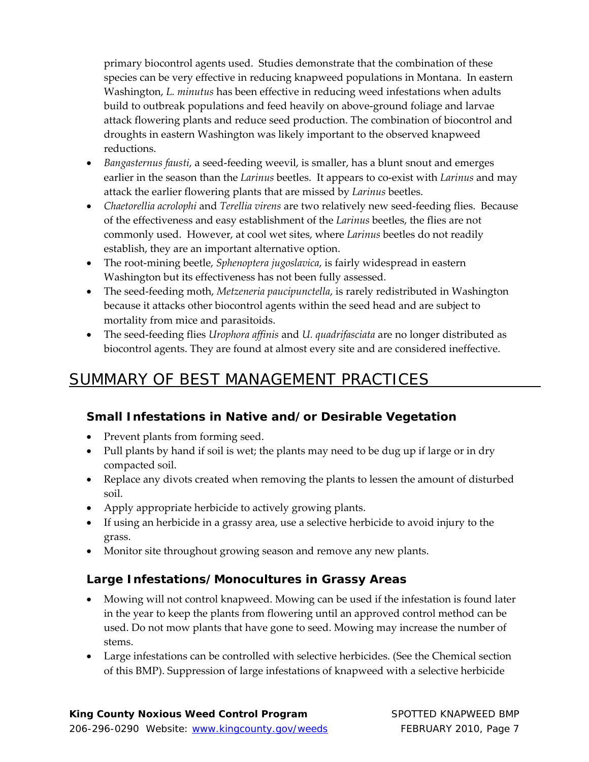primary biocontrol agents used. Studies demonstrate that the combination of these species can be very effective in reducing knapweed populations in Montana. In eastern Washington, *L. minutus* has been effective in reducing weed infestations when adults build to outbreak populations and feed heavily on above‐ground foliage and larvae attack flowering plants and reduce seed production. The combination of biocontrol and droughts in eastern Washington was likely important to the observed knapweed reductions.

- *Bangasternus fausti*, a seed‐feeding weevil, is smaller, has a blunt snout and emerges earlier in the season than the *Larinus* beetles. It appears to co-exist with *Larinus* and may attack the earlier flowering plants that are missed by *Larinus* beetles.
- *Chaetorellia acrolophi* and *Terellia virens* are two relatively new seed‐feeding flies. Because of the effectiveness and easy establishment of the *Larinus* beetles, the flies are not commonly used. However, at cool wet sites, where *Larinus* beetles do not readily establish, they are an important alternative option.
- The root‐mining beetle, *Sphenoptera jugoslavica*, is fairly widespread in eastern Washington but its effectiveness has not been fully assessed.
- The seed-feeding moth, *Metzeneria paucipunctella*, is rarely redistributed in Washington because it attacks other biocontrol agents within the seed head and are subject to mortality from mice and parasitoids.
- The seed‐feeding flies *Urophora affinis* and *U. quadrifasciata* are no longer distributed as biocontrol agents. They are found at almost every site and are considered ineffective.

## SUMMARY OF BEST MANAGEMENT PRACTICES

## **Small Infestations in Native and/or Desirable Vegetation**

- Prevent plants from forming seed.
- Pull plants by hand if soil is wet; the plants may need to be dug up if large or in dry compacted soil.
- Replace any divots created when removing the plants to lessen the amount of disturbed soil.
- Apply appropriate herbicide to actively growing plants.
- If using an herbicide in a grassy area, use a selective herbicide to avoid injury to the grass.
- Monitor site throughout growing season and remove any new plants.

## **Large Infestations/Monocultures in Grassy Areas**

- Mowing will not control knapweed. Mowing can be used if the infestation is found later in the year to keep the plants from flowering until an approved control method can be used. Do not mow plants that have gone to seed. Mowing may increase the number of stems.
- Large infestations can be controlled with selective herbicides. (See the Chemical section of this BMP). Suppression of large infestations of knapweed with a selective herbicide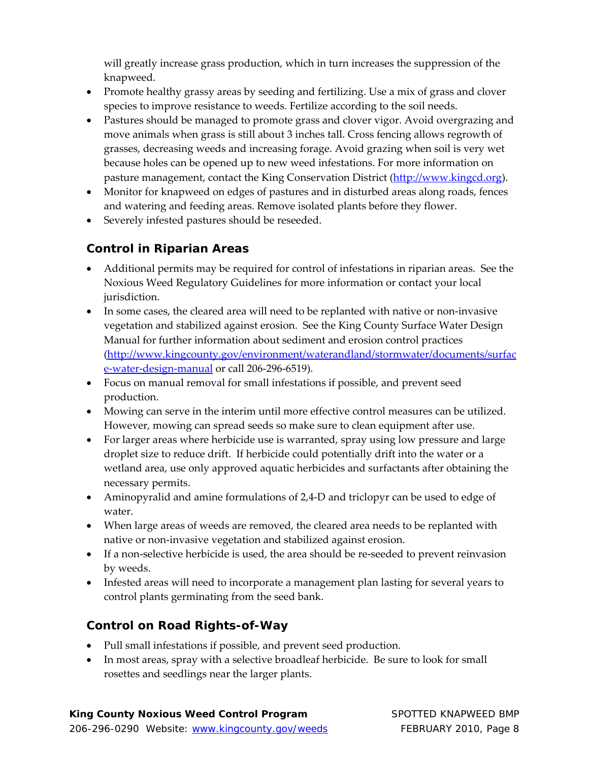will greatly increase grass production, which in turn increases the suppression of the knapweed.

- Promote healthy grassy areas by seeding and fertilizing. Use a mix of grass and clover species to improve resistance to weeds. Fertilize according to the soil needs.
- Pastures should be managed to promote grass and clover vigor. Avoid overgrazing and move animals when grass is still about 3 inches tall. Cross fencing allows regrowth of grasses, decreasing weeds and increasing forage. Avoid grazing when soil is very wet because holes can be opened up to new weed infestations. For more information on pasture management, contact the King Conservation District (http://www.kingcd.org).
- Monitor for knapweed on edges of pastures and in disturbed areas along roads, fences and watering and feeding areas. Remove isolated plants before they flower.
- Severely infested pastures should be reseeded.

## **Control in Riparian Areas**

- Additional permits may be required for control of infestations in riparian areas. See the Noxious Weed Regulatory Guidelines for more information or contact your local jurisdiction.
- In some cases, the cleared area will need to be replanted with native or non-invasive vegetation and stabilized against erosion. See the King County Surface Water Design Manual for further information about sediment and erosion control practices (http://www.kingcounty.gov/environment/waterandland/stormwater/documents/surfac e-water-design-manual or call 206-296-6519).
- Focus on manual removal for small infestations if possible, and prevent seed production.
- Mowing can serve in the interim until more effective control measures can be utilized. However, mowing can spread seeds so make sure to clean equipment after use.
- For larger areas where herbicide use is warranted, spray using low pressure and large droplet size to reduce drift. If herbicide could potentially drift into the water or a wetland area, use only approved aquatic herbicides and surfactants after obtaining the necessary permits.
- Aminopyralid and amine formulations of 2,4‐D and triclopyr can be used to edge of water.
- When large areas of weeds are removed, the cleared area needs to be replanted with native or non‐invasive vegetation and stabilized against erosion.
- If a non-selective herbicide is used, the area should be re-seeded to prevent reinvasion by weeds.
- Infested areas will need to incorporate a management plan lasting for several years to control plants germinating from the seed bank.

## **Control on Road Rights-of-Way**

- Pull small infestations if possible, and prevent seed production.
- In most areas, spray with a selective broadleaf herbicide. Be sure to look for small rosettes and seedlings near the larger plants.